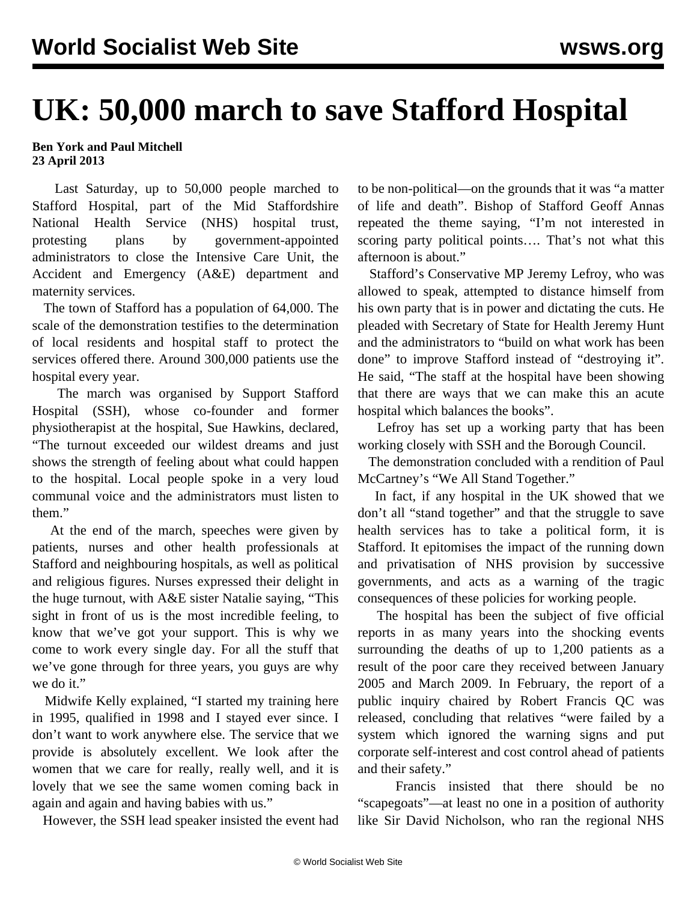## **UK: 50,000 march to save Stafford Hospital**

## **Ben York and Paul Mitchell 23 April 2013**

 Last Saturday, up to 50,000 people marched to Stafford Hospital, part of the Mid Staffordshire National Health Service (NHS) hospital trust, protesting plans by government-appointed administrators to close the Intensive Care Unit, the Accident and Emergency (A&E) department and maternity services.

 The town of Stafford has a population of 64,000. The scale of the demonstration testifies to the determination of local residents and hospital staff to protect the services offered there. Around 300,000 patients use the hospital every year.

 The march was organised by Support Stafford Hospital (SSH), whose co-founder and former physiotherapist at the hospital, Sue Hawkins, declared, "The turnout exceeded our wildest dreams and just shows the strength of feeling about what could happen to the hospital. Local people spoke in a very loud communal voice and the administrators must listen to them."

 At the end of the march, speeches were given by patients, nurses and other health professionals at Stafford and neighbouring hospitals, as well as political and religious figures. Nurses expressed their delight in the huge turnout, with A&E sister Natalie saying, "This sight in front of us is the most incredible feeling, to know that we've got your support. This is why we come to work every single day. For all the stuff that we've gone through for three years, you guys are why we do it."

 Midwife Kelly explained, "I started my training here in 1995, qualified in 1998 and I stayed ever since. I don't want to work anywhere else. The service that we provide is absolutely excellent. We look after the women that we care for really, really well, and it is lovely that we see the same women coming back in again and again and having babies with us."

However, the SSH lead speaker insisted the event had

to be non-political—on the grounds that it was "a matter of life and death". Bishop of Stafford Geoff Annas repeated the theme saying, "I'm not interested in scoring party political points.... That's not what this afternoon is about."

 Stafford's Conservative MP Jeremy Lefroy, who was allowed to speak, attempted to distance himself from his own party that is in power and dictating the cuts. He pleaded with Secretary of State for Health Jeremy Hunt and the administrators to "build on what work has been done" to improve Stafford instead of "destroying it". He said, "The staff at the hospital have been showing that there are ways that we can make this an acute hospital which balances the books".

 Lefroy has set up a working party that has been working closely with SSH and the Borough Council.

 The demonstration concluded with a rendition of Paul McCartney's "We All Stand Together."

 In fact, if any hospital in the UK showed that we don't all "stand together" and that the struggle to save health services has to take a political form, it is Stafford. It epitomises the impact of the running down and privatisation of NHS provision by successive governments, and acts as a warning of the tragic consequences of these policies for working people.

 The hospital has been the subject of five official reports in as many years into the shocking events surrounding the deaths of up to 1,200 patients as a result of the poor care they received between January 2005 and March 2009. In February, the report of a public inquiry chaired by Robert Francis QC was released, concluding that relatives "were failed by a system which ignored the warning signs and put corporate self-interest and cost control ahead of patients and their safety."

 Francis insisted that there should be no "scapegoats"—at least no one in a position of authority like Sir David Nicholson, who ran the regional NHS